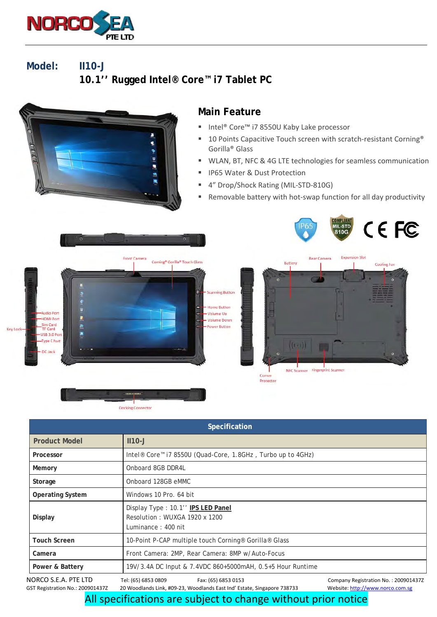

**Model: II10-J 10.1'' Rugged Intel® Core™ i7 Tablet PC** 



## **Main Feature**

- Intel® Core™ i7 8550U Kaby Lake processor
- 10 Points Capacitive Touch screen with scratch-resistant Corning® Gorilla® Glass
- WLAN, BT, NFC & 4G LTE technologies for seamless communication
- IP65 Water & Dust Protection
- 4" Drop/Shock Rating (MIL-STD-810G)
- Removable battery with hot-swap function for all day productivity



NORCO S.E.A. PTE LTD Tel: (65) 6853 0809 Fax: (65) 6853 0153 Company Registration No. : 200901437Z **Specification Product Model 1110-J Processor** Intel® Core™ i7 8550U (Quad-Core, 1.8GHz , Turbo up to 4GHz) **Memory CONFIDENTIAL Onboard 8GB DDR4L Storage CONDOMEGY CONDOMEGY CONDOMEGY AT A STORE AND STORE STORE STORE STORE STORE STORE STORE STORE STORE STORE STORE STORE STORE STORE STORE STORE STORE STORE STORE STORE STORE STORE STORE STORE STORE STORE STORE STORE Operating System Windows 10 Pro. 64 bit Display**  Display Type : 10.1'' **IPS LED Panel** Resolution : WUXGA 1920 x 1200 Luminance : 400 nit **Touch Screen** 10-Point P-CAP multiple touch Corning® Gorilla® Glass **Camera** Front Camera: 2MP, Rear Camera: 8MP w/Auto-Focus **Power & Battery** 19V/3.4A DC Input & 7.4VDC 860+5000mAH, 0.5+5 Hour Runtime

20 Woodlands Link, #09-23, Woodlands East Ind' Estate, Singapore 738733 Website: http://www.norco.com.sg

All specifications are subject to change without prior notice